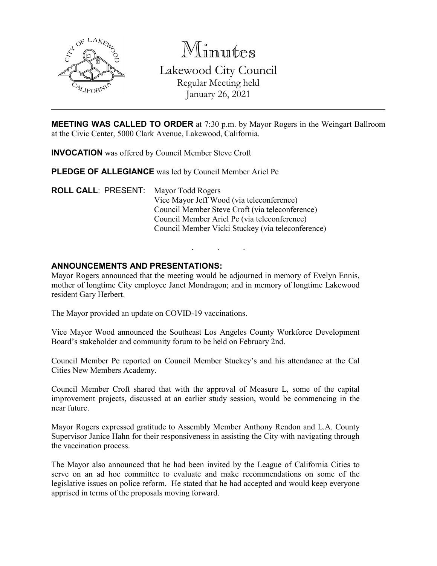

Minutes Lakewood City Council Regular Meeting held January 26, 2021

**MEETING WAS CALLED TO ORDER** at 7:30 p.m. by Mayor Rogers in the Weingart Ballroom at the Civic Center, 5000 Clark Avenue, Lakewood, California.

**INVOCATION** was offered by Council Member Steve Croft

**PLEDGE OF ALLEGIANCE** was led by Council Member Ariel Pe

**ROLL CALL**: PRESENT: Mayor Todd Rogers Vice Mayor Jeff Wood (via teleconference) Council Member Steve Croft (via teleconference) Council Member Ariel Pe (via teleconference) Council Member Vicki Stuckey (via teleconference)

# **ANNOUNCEMENTS AND PRESENTATIONS:**

Mayor Rogers announced that the meeting would be adjourned in memory of Evelyn Ennis, mother of longtime City employee Janet Mondragon; and in memory of longtime Lakewood resident Gary Herbert.

. . .

The Mayor provided an update on COVID-19 vaccinations.

Vice Mayor Wood announced the Southeast Los Angeles County Workforce Development Board's stakeholder and community forum to be held on February 2nd.

Council Member Pe reported on Council Member Stuckey's and his attendance at the Cal Cities New Members Academy.

Council Member Croft shared that with the approval of Measure L, some of the capital improvement projects, discussed at an earlier study session, would be commencing in the near future.

Mayor Rogers expressed gratitude to Assembly Member Anthony Rendon and L.A. County Supervisor Janice Hahn for their responsiveness in assisting the City with navigating through the vaccination process.

The Mayor also announced that he had been invited by the League of California Cities to serve on an ad hoc committee to evaluate and make recommendations on some of the legislative issues on police reform. He stated that he had accepted and would keep everyone apprised in terms of the proposals moving forward.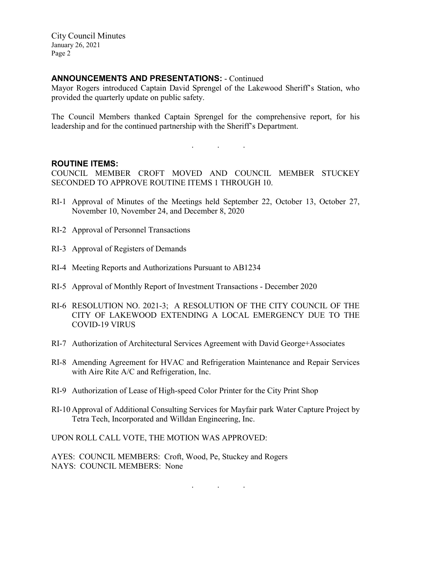City Council Minutes January 26, 2021 Page 2

# **ANNOUNCEMENTS AND PRESENTATIONS:** - Continued

Mayor Rogers introduced Captain David Sprengel of the Lakewood Sheriff's Station, who provided the quarterly update on public safety.

The Council Members thanked Captain Sprengel for the comprehensive report, for his leadership and for the continued partnership with the Sheriff's Department.

. . .

# **ROUTINE ITEMS:**

COUNCIL MEMBER CROFT MOVED AND COUNCIL MEMBER STUCKEY SECONDED TO APPROVE ROUTINE ITEMS 1 THROUGH 10.

- RI-1 Approval of Minutes of the Meetings held September 22, October 13, October 27, November 10, November 24, and December 8, 2020
- RI-2 Approval of Personnel Transactions
- RI-3 Approval of Registers of Demands
- RI-4 Meeting Reports and Authorizations Pursuant to AB1234
- RI-5 Approval of Monthly Report of Investment Transactions December 2020
- RI-6 RESOLUTION NO. 2021-3; A RESOLUTION OF THE CITY COUNCIL OF THE CITY OF LAKEWOOD EXTENDING A LOCAL EMERGENCY DUE TO THE COVID-19 VIRUS
- RI-7 Authorization of Architectural Services Agreement with David George+Associates
- RI-8 Amending Agreement for HVAC and Refrigeration Maintenance and Repair Services with Aire Rite A/C and Refrigeration, Inc.
- RI-9 Authorization of Lease of High-speed Color Printer for the City Print Shop
- RI-10 Approval of Additional Consulting Services for Mayfair park Water Capture Project by Tetra Tech, Incorporated and Willdan Engineering, Inc.

UPON ROLL CALL VOTE, THE MOTION WAS APPROVED:

AYES: COUNCIL MEMBERS: Croft, Wood, Pe, Stuckey and Rogers NAYS: COUNCIL MEMBERS: None

. . .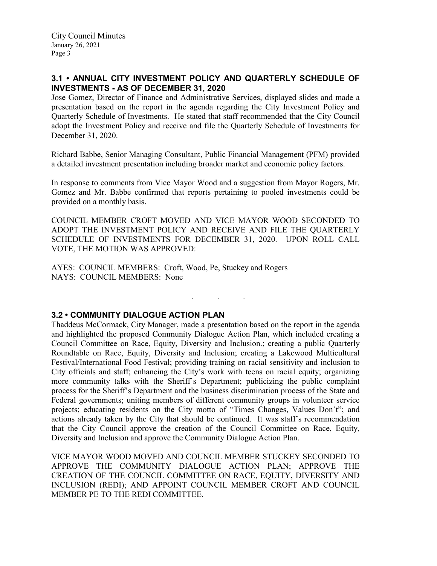# **3.1 • ANNUAL CITY INVESTMENT POLICY AND QUARTERLY SCHEDULE OF INVESTMENTS - AS OF DECEMBER 31, 2020**

Jose Gomez, Director of Finance and Administrative Services, displayed slides and made a presentation based on the report in the agenda regarding the City Investment Policy and Quarterly Schedule of Investments. He stated that staff recommended that the City Council adopt the Investment Policy and receive and file the Quarterly Schedule of Investments for December 31, 2020.

Richard Babbe, Senior Managing Consultant, Public Financial Management (PFM) provided a detailed investment presentation including broader market and economic policy factors.

In response to comments from Vice Mayor Wood and a suggestion from Mayor Rogers, Mr. Gomez and Mr. Babbe confirmed that reports pertaining to pooled investments could be provided on a monthly basis.

COUNCIL MEMBER CROFT MOVED AND VICE MAYOR WOOD SECONDED TO ADOPT THE INVESTMENT POLICY AND RECEIVE AND FILE THE QUARTERLY SCHEDULE OF INVESTMENTS FOR DECEMBER 31, 2020. UPON ROLL CALL VOTE, THE MOTION WAS APPROVED:

. . .

AYES: COUNCIL MEMBERS: Croft, Wood, Pe, Stuckey and Rogers NAYS: COUNCIL MEMBERS: None

# **3.2 • COMMUNITY DIALOGUE ACTION PLAN**

Thaddeus McCormack, City Manager, made a presentation based on the report in the agenda and highlighted the proposed Community Dialogue Action Plan, which included creating a Council Committee on Race, Equity, Diversity and Inclusion.; creating a public Quarterly Roundtable on Race, Equity, Diversity and Inclusion; creating a Lakewood Multicultural Festival/International Food Festival; providing training on racial sensitivity and inclusion to City officials and staff; enhancing the City's work with teens on racial equity; organizing more community talks with the Sheriff's Department; publicizing the public complaint process for the Sheriff's Department and the business discrimination process of the State and Federal governments; uniting members of different community groups in volunteer service projects; educating residents on the City motto of "Times Changes, Values Don't"; and actions already taken by the City that should be continued. It was staff's recommendation that the City Council approve the creation of the Council Committee on Race, Equity, Diversity and Inclusion and approve the Community Dialogue Action Plan.

VICE MAYOR WOOD MOVED AND COUNCIL MEMBER STUCKEY SECONDED TO APPROVE THE COMMUNITY DIALOGUE ACTION PLAN; APPROVE THE CREATION OF THE COUNCIL COMMITTEE ON RACE, EQUITY, DIVERSITY AND INCLUSION (REDI); AND APPOINT COUNCIL MEMBER CROFT AND COUNCIL MEMBER PE TO THE REDI COMMITTEE.